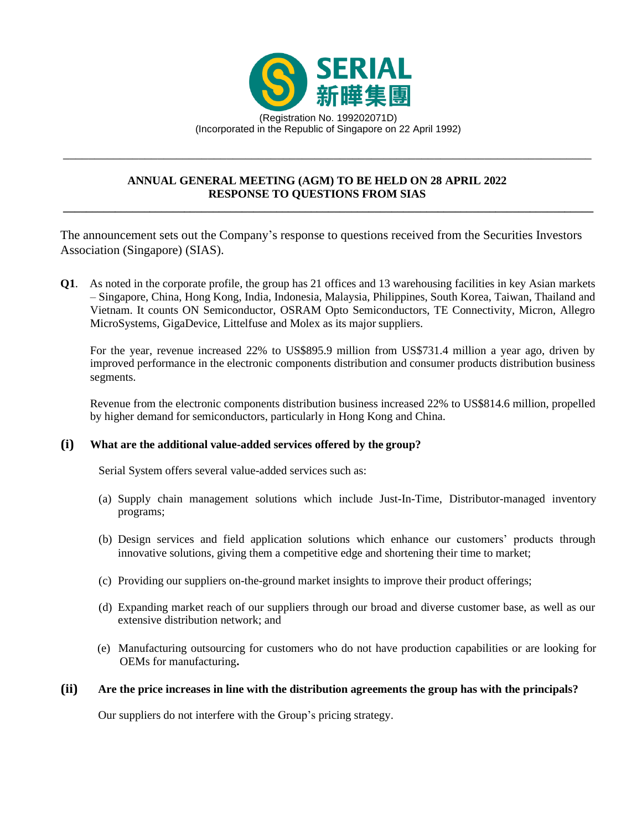

# **ANNUAL GENERAL MEETING (AGM) TO BE HELD ON 28 APRIL 2022 RESPONSE TO QUESTIONS FROM SIAS**

\_\_\_\_\_\_\_\_\_\_\_\_\_\_\_\_\_\_\_\_\_\_\_\_\_\_\_\_\_\_\_\_\_\_\_\_\_\_\_\_\_\_\_\_\_\_\_\_\_\_\_\_\_\_\_\_\_\_\_\_\_\_\_\_\_\_\_\_\_\_\_\_\_\_\_\_\_\_\_\_\_\_\_\_

The announcement sets out the Company's response to questions received from the Securities Investors Association (Singapore) (SIAS).

**\_\_\_\_\_\_\_\_\_\_\_\_\_\_\_\_\_\_\_\_\_\_\_\_\_\_\_\_\_\_\_\_\_\_\_\_\_\_\_\_\_\_\_\_\_\_\_\_\_\_\_\_\_\_\_\_\_\_\_\_\_\_\_\_\_\_\_\_\_\_\_\_\_\_\_\_\_\_\_\_\_\_\_\_\_\_\_\_\_\_\_\_**

**Q1**. As noted in the corporate profile, the group has 21 offices and 13 warehousing facilities in key Asian markets – Singapore, China, Hong Kong, India, Indonesia, Malaysia, Philippines, South Korea, Taiwan, Thailand and Vietnam. It counts ON Semiconductor, OSRAM Opto Semiconductors, TE Connectivity, Micron, Allegro MicroSystems, GigaDevice, Littelfuse and Molex as its major suppliers.

For the year, revenue increased 22% to US\$895.9 million from US\$731.4 million a year ago, driven by improved performance in the electronic components distribution and consumer products distribution business segments.

Revenue from the electronic components distribution business increased 22% to US\$814.6 million, propelled by higher demand for semiconductors, particularly in Hong Kong and China.

### **(i) What are the additional value-added services offered by the group?**

Serial System offers several value-added services such as:

- (a) Supply chain management solutions which include Just-In-Time, Distributor-managed inventory programs;
- (b) Design services and field application solutions which enhance our customers' products through innovative solutions, giving them a competitive edge and shortening their time to market;
- (c) Providing our suppliers on-the-ground market insights to improve their product offerings;
- (d) Expanding market reach of our suppliers through our broad and diverse customer base, as well as our extensive distribution network; and
- (e) Manufacturing outsourcing for customers who do not have production capabilities or are looking for OEMs for manufacturing**.**

#### **(ii) Are the price increases in line with the distribution agreements the group has with the principals?**

Our suppliers do not interfere with the Group's pricing strategy.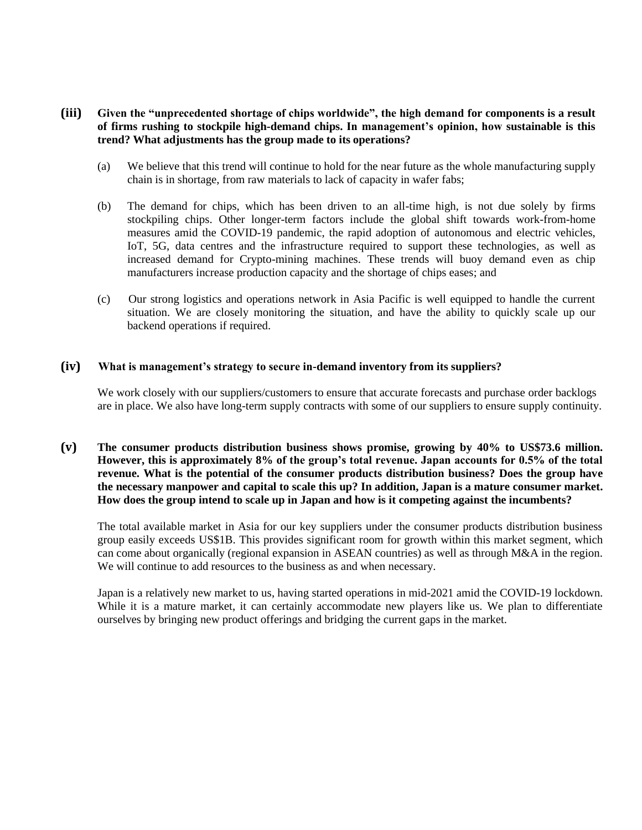## **(iii) Given the "unprecedented shortage of chips worldwide", the high demand for components is a result of firms rushing to stockpile high-demand chips. In management's opinion, how sustainable is this trend? What adjustments has the group made to its operations?**

- (a) We believe that this trend will continue to hold for the near future as the whole manufacturing supply chain is in shortage, from raw materials to lack of capacity in wafer fabs;
- (b) The demand for chips, which has been driven to an all-time high, is not due solely by firms stockpiling chips. Other longer-term factors include the global shift towards work-from-home measures amid the COVID-19 pandemic, the rapid adoption of autonomous and electric vehicles, IoT, 5G, data centres and the infrastructure required to support these technologies, as well as increased demand for Crypto-mining machines. These trends will buoy demand even as chip manufacturers increase production capacity and the shortage of chips eases; and
- (c) Our strong logistics and operations network in Asia Pacific is well equipped to handle the current situation. We are closely monitoring the situation, and have the ability to quickly scale up our backend operations if required.

### **(iv) What is management's strategy to secure in-demand inventory from its suppliers?**

We work closely with our suppliers/customers to ensure that accurate forecasts and purchase order backlogs are in place. We also have long-term supply contracts with some of our suppliers to ensure supply continuity.

### **(v) The consumer products distribution business shows promise, growing by 40% to US\$73.6 million. However, this is approximately 8% of the group's total revenue. Japan accounts for 0.5% of the total revenue. What is the potential of the consumer products distribution business? Does the group have the necessary manpower and capital to scale this up? In addition, Japan is a mature consumer market. How does the group intend to scale up in Japan and how is it competing against the incumbents?**

The total available market in Asia for our key suppliers under the consumer products distribution business group easily exceeds US\$1B. This provides significant room for growth within this market segment, which can come about organically (regional expansion in ASEAN countries) as well as through M&A in the region. We will continue to add resources to the business as and when necessary.

Japan is a relatively new market to us, having started operations in mid-2021 amid the COVID-19 lockdown. While it is a mature market, it can certainly accommodate new players like us. We plan to differentiate ourselves by bringing new product offerings and bridging the current gaps in the market.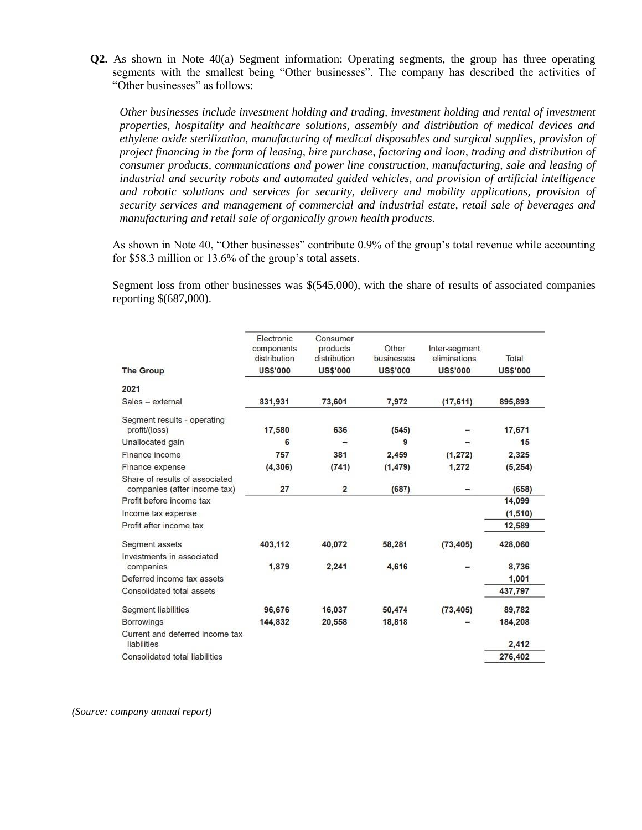**Q2.** As shown in Note 40(a) Segment information: Operating segments, the group has three operating segments with the smallest being "Other businesses". The company has described the activities of "Other businesses" as follows:

*Other businesses include investment holding and trading, investment holding and rental of investment properties, hospitality and healthcare solutions, assembly and distribution of medical devices and ethylene oxide sterilization, manufacturing of medical disposables and surgical supplies, provision of project financing in the form of leasing, hire purchase, factoring and loan, trading and distribution of consumer products, communications and power line construction, manufacturing, sale and leasing of industrial and security robots and automated guided vehicles, and provision of artificial intelligence and robotic solutions and services for security, delivery and mobility applications, provision of security services and management of commercial and industrial estate, retail sale of beverages and manufacturing and retail sale of organically grown health products.*

As shown in Note 40, "Other businesses" contribute 0.9% of the group's total revenue while accounting for \$58.3 million or 13.6% of the group's total assets.

Segment loss from other businesses was \$(545,000), with the share of results of associated companies reporting \$(687,000).

| <b>The Group</b>                                               | Electronic<br>components<br>distribution<br><b>US\$'000</b> | Consumer<br>products<br>distribution<br><b>US\$'000</b> | Other<br>businesses<br><b>US\$'000</b> | Inter-segment<br>eliminations<br><b>US\$'000</b> | Total<br><b>US\$'000</b> |
|----------------------------------------------------------------|-------------------------------------------------------------|---------------------------------------------------------|----------------------------------------|--------------------------------------------------|--------------------------|
| 2021                                                           |                                                             |                                                         |                                        |                                                  |                          |
| Sales - external                                               | 831,931                                                     | 73,601                                                  | 7,972                                  | (17, 611)                                        | 895,893                  |
| Segment results - operating<br>profit/(loss)                   | 17,580                                                      | 636                                                     | (545)                                  |                                                  | 17,671                   |
| Unallocated gain                                               | 6                                                           |                                                         | 9                                      |                                                  | 15                       |
| Finance income                                                 | 757                                                         | 381                                                     | 2,459                                  | (1, 272)                                         | 2,325                    |
| Finance expense                                                | (4, 306)                                                    | (741)                                                   | (1, 479)                               | 1,272                                            | (5, 254)                 |
| Share of results of associated<br>companies (after income tax) | 27                                                          | $\overline{2}$                                          | (687)                                  |                                                  | (658)                    |
| Profit before income tax                                       |                                                             |                                                         |                                        |                                                  | 14,099                   |
| Income tax expense                                             |                                                             |                                                         |                                        |                                                  | (1, 510)                 |
| Profit after income tax                                        |                                                             |                                                         |                                        |                                                  | 12,589                   |
| Segment assets                                                 | 403,112                                                     | 40,072                                                  | 58,281                                 | (73, 405)                                        | 428,060                  |
| Investments in associated<br>companies                         | 1,879                                                       | 2,241                                                   | 4,616                                  |                                                  | 8,736                    |
| Deferred income tax assets                                     |                                                             |                                                         |                                        |                                                  | 1,001                    |
| Consolidated total assets                                      |                                                             |                                                         |                                        |                                                  | 437,797                  |
| Segment liabilities                                            | 96,676                                                      | 16,037                                                  | 50,474                                 | (73, 405)                                        | 89,782                   |
| <b>Borrowings</b>                                              | 144,832                                                     | 20,558                                                  | 18,818                                 |                                                  | 184,208                  |
| Current and deferred income tax<br>liabilities                 |                                                             |                                                         |                                        |                                                  | 2,412                    |
| Consolidated total liabilities                                 |                                                             |                                                         |                                        |                                                  | 276,402                  |

*(Source: company annual report)*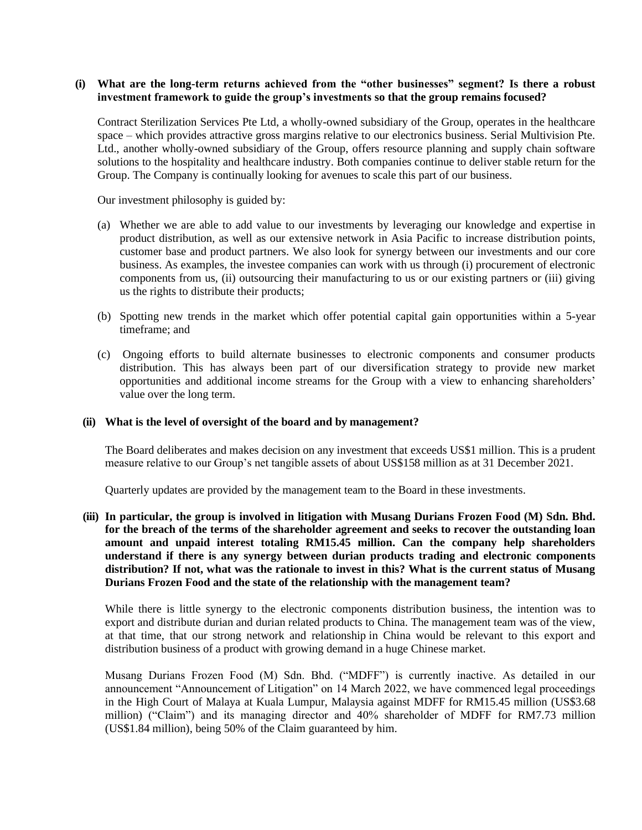### **(i) What are the long-term returns achieved from the "other businesses" segment? Is there a robust investment framework to guide the group's investments so that the group remains focused?**

Contract Sterilization Services Pte Ltd, a wholly-owned subsidiary of the Group, operates in the healthcare space – which provides attractive gross margins relative to our electronics business. Serial Multivision Pte. Ltd., another wholly-owned subsidiary of the Group, offers resource planning and supply chain software solutions to the hospitality and healthcare industry. Both companies continue to deliver stable return for the Group. The Company is continually looking for avenues to scale this part of our business.

Our investment philosophy is guided by:

- (a) Whether we are able to add value to our investments by leveraging our knowledge and expertise in product distribution, as well as our extensive network in Asia Pacific to increase distribution points, customer base and product partners. We also look for synergy between our investments and our core business. As examples, the investee companies can work with us through (i) procurement of electronic components from us, (ii) outsourcing their manufacturing to us or our existing partners or (iii) giving us the rights to distribute their products;
- (b) Spotting new trends in the market which offer potential capital gain opportunities within a 5-year timeframe; and
- (c) Ongoing efforts to build alternate businesses to electronic components and consumer products distribution. This has always been part of our diversification strategy to provide new market opportunities and additional income streams for the Group with a view to enhancing shareholders' value over the long term.

### **(ii) What is the level of oversight of the board and by management?**

The Board deliberates and makes decision on any investment that exceeds US\$1 million. This is a prudent measure relative to our Group's net tangible assets of about US\$158 million as at 31 December 2021.

Quarterly updates are provided by the management team to the Board in these investments.

**(iii) In particular, the group is involved in litigation with Musang Durians Frozen Food (M) Sdn. Bhd. for the breach of the terms of the shareholder agreement and seeks to recover the outstanding loan amount and unpaid interest totaling RM15.45 million. Can the company help shareholders understand if there is any synergy between durian products trading and electronic components distribution? If not, what was the rationale to invest in this? What is the current status of Musang Durians Frozen Food and the state of the relationship with the management team?**

While there is little synergy to the electronic components distribution business, the intention was to export and distribute durian and durian related products to China. The management team was of the view, at that time, that our strong network and relationship in China would be relevant to this export and distribution business of a product with growing demand in a huge Chinese market.

Musang Durians Frozen Food (M) Sdn. Bhd. ("MDFF") is currently inactive. As detailed in our announcement "Announcement of Litigation" on 14 March 2022, we have commenced legal proceedings in the High Court of Malaya at Kuala Lumpur, Malaysia against MDFF for RM15.45 million (US\$3.68 million) ("Claim") and its managing director and 40% shareholder of MDFF for RM7.73 million (US\$1.84 million), being 50% of the Claim guaranteed by him.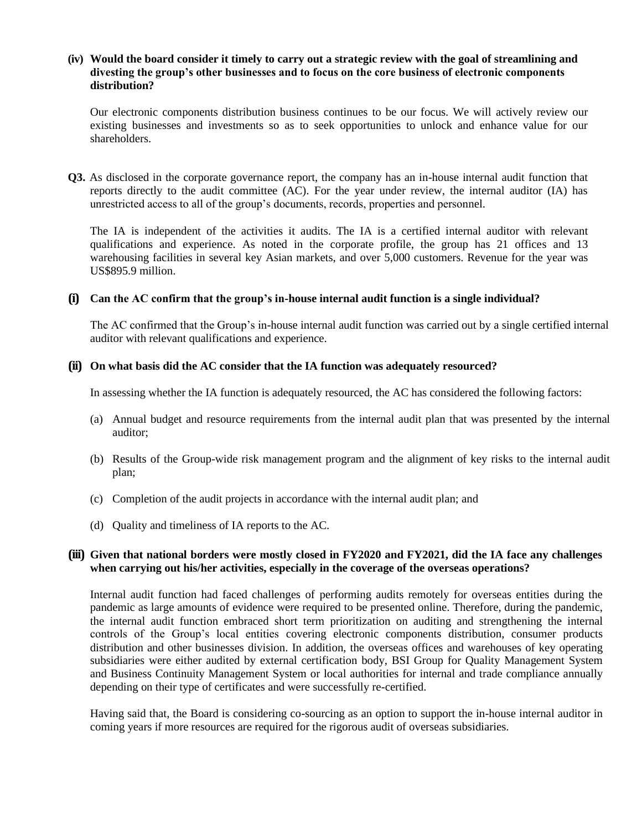### **(iv) Would the board consider it timely to carry out a strategic review with the goal of streamlining and divesting the group's other businesses and to focus on the core business of electronic components distribution?**

Our electronic components distribution business continues to be our focus. We will actively review our existing businesses and investments so as to seek opportunities to unlock and enhance value for our shareholders.

**Q3.** As disclosed in the corporate governance report, the company has an in-house internal audit function that reports directly to the audit committee (AC). For the year under review, the internal auditor (IA) has unrestricted access to all of the group's documents, records, properties and personnel.

The IA is independent of the activities it audits. The IA is a certified internal auditor with relevant qualifications and experience. As noted in the corporate profile, the group has 21 offices and 13 warehousing facilities in several key Asian markets, and over 5,000 customers. Revenue for the year was US\$895.9 million.

### **(i) Can the AC confirm that the group's in-house internal audit function is a single individual?**

The AC confirmed that the Group's in-house internal audit function was carried out by a single certified internal auditor with relevant qualifications and experience.

### **(ii) On what basis did the AC consider that the IA function was adequately resourced?**

In assessing whether the IA function is adequately resourced, the AC has considered the following factors:

- (a) Annual budget and resource requirements from the internal audit plan that was presented by the internal auditor;
- (b) Results of the Group-wide risk management program and the alignment of key risks to the internal audit plan;
- (c) Completion of the audit projects in accordance with the internal audit plan; and
- (d) Quality and timeliness of IA reports to the AC.

## **(iii) Given that national borders were mostly closed in FY2020 and FY2021, did the IA face any challenges when carrying out his/her activities, especially in the coverage of the overseas operations?**

Internal audit function had faced challenges of performing audits remotely for overseas entities during the pandemic as large amounts of evidence were required to be presented online. Therefore, during the pandemic, the internal audit function embraced short term prioritization on auditing and strengthening the internal controls of the Group's local entities covering electronic components distribution, consumer products distribution and other businesses division. In addition, the overseas offices and warehouses of key operating subsidiaries were either audited by external certification body, BSI Group for Quality Management System and Business Continuity Management System or local authorities for internal and trade compliance annually depending on their type of certificates and were successfully re-certified.

Having said that, the Board is considering co-sourcing as an option to support the in-house internal auditor in coming years if more resources are required for the rigorous audit of overseas subsidiaries.